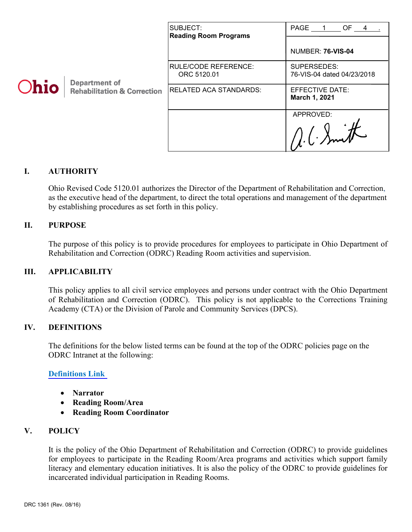| Ohio | <b>Department of</b><br><b>Rehabilitation &amp; Correction</b> | SUBJECT:<br><b>Reading Room Programs</b> | PAGE<br>OF <sub>4</sub><br><b>NUMBER: 76-VIS-04</b> |
|------|----------------------------------------------------------------|------------------------------------------|-----------------------------------------------------|
|      |                                                                | RULE/CODE REFERENCE:<br>ORC 5120.01      | SUPERSEDES:<br>76-VIS-04 dated 04/23/2018           |
|      |                                                                | <b>RELATED ACA STANDARDS:</b>            | EFFECTIVE DATE:<br>March 1, 2021                    |
|      |                                                                |                                          | APPROVED:                                           |

## **I. AUTHORITY**

Ohio Revised Code 5120.01 authorizes the Director of the Department of Rehabilitation and Correction, as the executive head of the department, to direct the total operations and management of the department by establishing procedures as set forth in this policy.

#### **II. PURPOSE**

The purpose of this policy is to provide procedures for employees to participate in Ohio Department of Rehabilitation and Correction (ODRC) Reading Room activities and supervision.

#### **III. APPLICABILITY**

This policy applies to all civil service employees and persons under contract with the Ohio Department of Rehabilitation and Correction (ODRC). This policy is not applicable to the Corrections Training Academy (CTA) or the Division of Parole and Community Services (DPCS).

#### **IV. DEFINITIONS**

The definitions for the below listed terms can be found at the top of the ODRC policies page on the ODRC Intranet at the following:

#### **[Definitions Link](http://intra/policies/pagecontent/files/Policy%20Definition%20Spreadsheet%20-%20Intranet%202021.pdf)**

- **Narrator**
- **Reading Room/Area**
- **Reading Room Coordinator**

## **V. POLICY**

It is the policy of the Ohio Department of Rehabilitation and Correction (ODRC) to provide guidelines for employees to participate in the Reading Room/Area programs and activities which support family literacy and elementary education initiatives. It is also the policy of the ODRC to provide guidelines for incarcerated individual participation in Reading Rooms.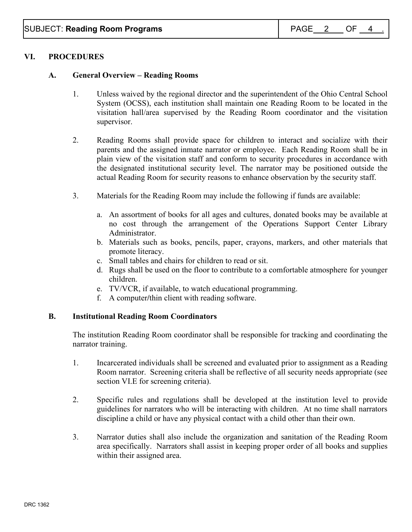## **VI. PROCEDURES**

### **A. General Overview – Reading Rooms**

- 1. Unless waived by the regional director and the superintendent of the Ohio Central School System (OCSS), each institution shall maintain one Reading Room to be located in the visitation hall/area supervised by the Reading Room coordinator and the visitation supervisor.
- 2. Reading Rooms shall provide space for children to interact and socialize with their parents and the assigned inmate narrator or employee. Each Reading Room shall be in plain view of the visitation staff and conform to security procedures in accordance with the designated institutional security level. The narrator may be positioned outside the actual Reading Room for security reasons to enhance observation by the security staff.
- 3. Materials for the Reading Room may include the following if funds are available:
	- a. An assortment of books for all ages and cultures, donated books may be available at no cost through the arrangement of the Operations Support Center Library Administrator.
	- b. Materials such as books, pencils, paper, crayons, markers, and other materials that promote literacy.
	- c. Small tables and chairs for children to read or sit.
	- d. Rugs shall be used on the floor to contribute to a comfortable atmosphere for younger children.
	- e. TV/VCR, if available, to watch educational programming.
	- f. A computer**/**thin client with reading software.

#### **B. Institutional Reading Room Coordinators**

The institution Reading Room coordinator shall be responsible for tracking and coordinating the narrator training.

- 1. Incarcerated individuals shall be screened and evaluated prior to assignment as a Reading Room narrator. Screening criteria shall be reflective of all security needs appropriate (see section VI.E for screening criteria).
- 2. Specific rules and regulations shall be developed at the institution level to provide guidelines for narrators who will be interacting with children. At no time shall narrators discipline a child or have any physical contact with a child other than their own.
- 3. Narrator duties shall also include the organization and sanitation of the Reading Room area specifically. Narrators shall assist in keeping proper order of all books and supplies within their assigned area.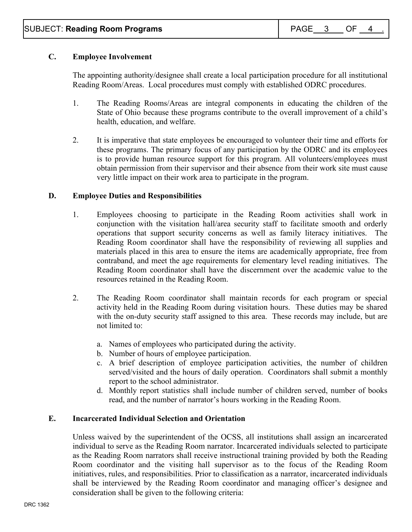## **C. Employee Involvement**

The appointing authority/designee shall create a local participation procedure for all institutional Reading Room/Areas. Local procedures must comply with established ODRC procedures.

- 1. The Reading Rooms/Areas are integral components in educating the children of the State of Ohio because these programs contribute to the overall improvement of a child's health, education, and welfare.
- 2. It is imperative that state employees be encouraged to volunteer their time and efforts for these programs. The primary focus of any participation by the ODRC and its employees is to provide human resource support for this program. All volunteers/employees must obtain permission from their supervisor and their absence from their work site must cause very little impact on their work area to participate in the program.

### **D. Employee Duties and Responsibilities**

- 1. Employees choosing to participate in the Reading Room activities shall work in conjunction with the visitation hall/area security staff to facilitate smooth and orderly operations that support security concerns as well as family literacy initiatives. The Reading Room coordinator shall have the responsibility of reviewing all supplies and materials placed in this area to ensure the items are academically appropriate, free from contraband, and meet the age requirements for elementary level reading initiatives. The Reading Room coordinator shall have the discernment over the academic value to the resources retained in the Reading Room.
- 2. The Reading Room coordinator shall maintain records for each program or special activity held in the Reading Room during visitation hours. These duties may be shared with the on-duty security staff assigned to this area. These records may include, but are not limited to:
	- a. Names of employees who participated during the activity.
	- b. Number of hours of employee participation.
	- c. A brief description of employee participation activities, the number of children served/visited and the hours of daily operation. Coordinators shall submit a monthly report to the school administrator.
	- d. Monthly report statistics shall include number of children served, number of books read, and the number of narrator's hours working in the Reading Room.

#### **E. Incarcerated Individual Selection and Orientation**

Unless waived by the superintendent of the OCSS, all institutions shall assign an incarcerated individual to serve as the Reading Room narrator. Incarcerated individuals selected to participate as the Reading Room narrators shall receive instructional training provided by both the Reading Room coordinator and the visiting hall supervisor as to the focus of the Reading Room initiatives, rules, and responsibilities. Prior to classification as a narrator, incarcerated individuals shall be interviewed by the Reading Room coordinator and managing officer's designee and consideration shall be given to the following criteria: